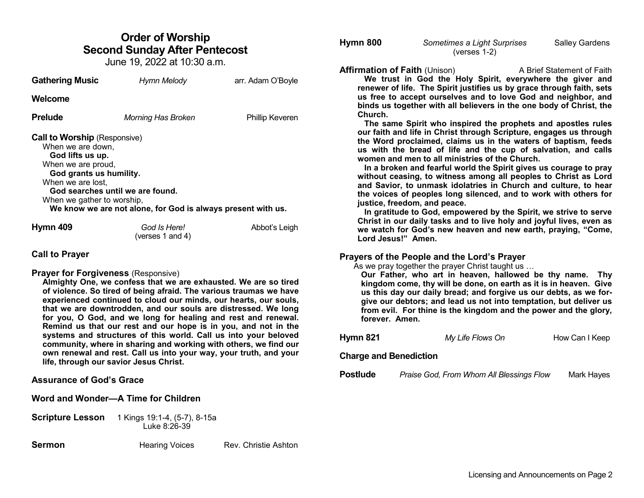# **Order of Worship Second Sunday After Pentecost**

June 19, 2022 at 10:30 a.m.

| <b>Gathering Music</b>                                                                                                                                                           | Hymn Melody                                                                                      | arr. Adam O'Boyle |  |
|----------------------------------------------------------------------------------------------------------------------------------------------------------------------------------|--------------------------------------------------------------------------------------------------|-------------------|--|
| Welcome                                                                                                                                                                          |                                                                                                  |                   |  |
| Prelude                                                                                                                                                                          | Morning Has Broken                                                                               | Phillip Keveren   |  |
| <b>Call to Worship</b> (Responsive)<br>When we are down,<br>God lifts us up.<br>When we are proud,<br>God grants us humility.<br>When we are lost,<br>When we gather to worship, | God searches until we are found.<br>We know we are not alone, for God is always present with us. |                   |  |
| Hymn 409                                                                                                                                                                         | God Is Here!<br>(verses 1 and 4)                                                                 | Abbot's Leigh     |  |

# **Call to Prayer**

#### **Prayer for Forgiveness** (Responsive)

**Almighty One, we confess that we are exhausted. We are so tired of violence. So tired of being afraid. The various traumas we have experienced continued to cloud our minds, our hearts, our souls, that we are downtrodden, and our souls are distressed. We long for you, O God, and we long for healing and rest and renewal. Remind us that our rest and our hope is in you, and not in the systems and structures of this world. Call us into your beloved community, where in sharing and working with others, we find our own renewal and rest. Call us into your way, your truth, and your life, through our savior Jesus Christ.** 

# **Assurance of God's Grace**

# **Word and Wonder—A Time for Children**

**Scripture Lesson** 1 Kings 19:1-4, (5-7), 8-15a Luke 8:26-39

**Sermon Hearing Voices** Rev. Christie Ashton

| Hymn 800 | Sometimes a Light Surprises | <b>Salley Gardens</b> |
|----------|-----------------------------|-----------------------|
|          | (verses $1-2$ )             |                       |

**Affirmation of Faith** (Unison) A Brief Statement of Faith **We trust in God the Holy Spirit, everywhere the giver and renewer of life. The Spirit justifies us by grace through faith, sets us free to accept ourselves and to love God and neighbor, and binds us together with all believers in the one body of Christ, the Church.** 

 **The same Spirit who inspired the prophets and apostles rules our faith and life in Christ through Scripture, engages us through the Word proclaimed, claims us in the waters of baptism, feeds us with the bread of life and the cup of salvation, and calls women and men to all ministries of the Church.**

 **In a broken and fearful world the Spirit gives us courage to pray without ceasing, to witness among all peoples to Christ as Lord and Savior, to unmask idolatries in Church and culture, to hear the voices of peoples long silenced, and to work with others for justice, freedom, and peace.**

 **In gratitude to God, empowered by the Spirit, we strive to serve Christ in our daily tasks and to live holy and joyful lives, even as we watch for God's new heaven and new earth, praying, "Come, Lord Jesus!" Amen.**

# **Prayers of the People and the Lord's Prayer**

As we pray together the prayer Christ taught us …

**Our Father, who art in heaven, hallowed be thy name. Thy kingdom come, thy will be done, on earth as it is in heaven. Give us this day our daily bread; and forgive us our debts, as we forgive our debtors; and lead us not into temptation, but deliver us from evil. For thine is the kingdom and the power and the glory, forever. Amen.** 

| Hymn 821 | My Life Flows On | How Can I Keep |
|----------|------------------|----------------|
|          |                  |                |

## **Charge and Benediction**

**Postlude** *Praise God, From Whom All Blessings Flow* Mark Hayes